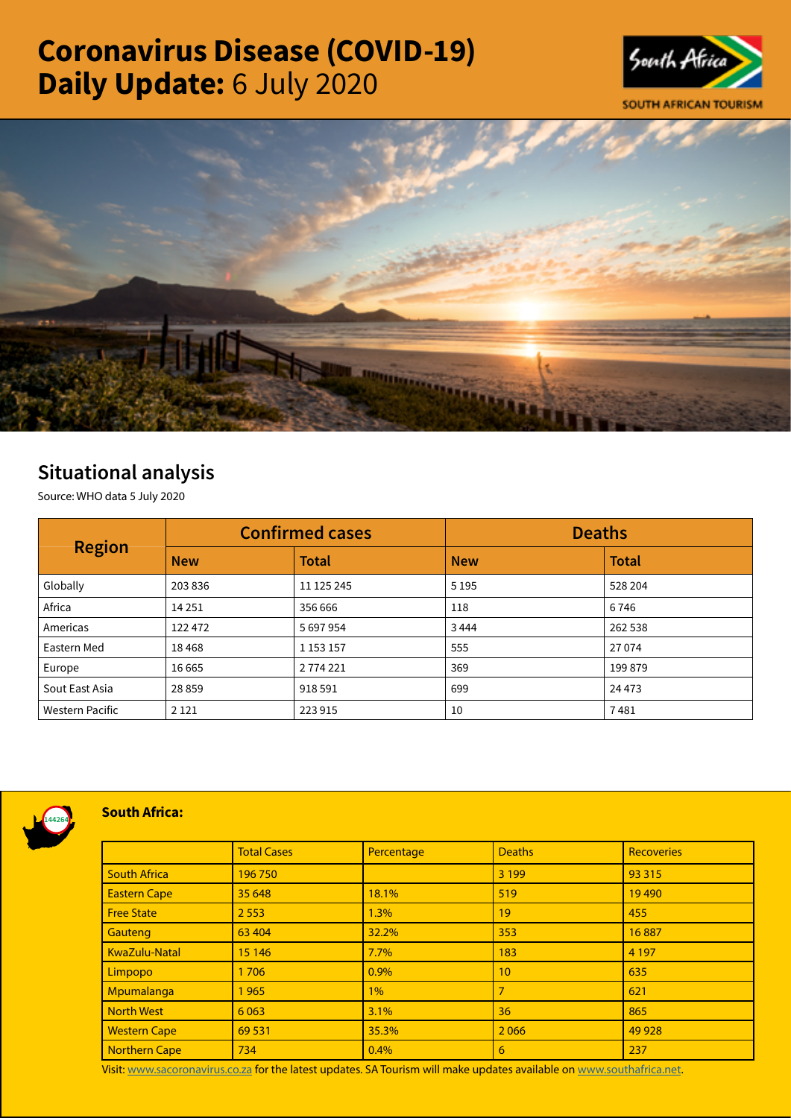# Coronavirus Disease (COVID-19) Daily Update: 6 July 2020





# Situational analysis

Source: WHO data 5 July 2020

| <b>Region</b>          | <b>Confirmed cases</b> |               | <b>Deaths</b> |              |
|------------------------|------------------------|---------------|---------------|--------------|
|                        | <b>New</b>             | <b>Total</b>  | <b>New</b>    | <b>Total</b> |
| Globally               | 203836                 | 11 125 245    | 5 1 9 5       | 528 204      |
| Africa                 | 14 2 5 1               | 356 666       | 118           | 6746         |
| Americas               | 122 472                | 5 697 954     | 3444          | 262 538      |
| Eastern Med            | 18468                  | 1 1 5 3 1 5 7 | 555           | 27 0 74      |
| Europe                 | 16 6 65                | 2 774 221     | 369           | 199 879      |
| Sout East Asia         | 28 8 59                | 918 591       | 699           | 24 4 73      |
| <b>Western Pacific</b> | 2 1 2 1                | 223 915       | 10            | 7481         |



### South Africa:

|                      | <b>Total Cases</b> | Percentage | <b>Deaths</b>  | <b>Recoveries</b> |
|----------------------|--------------------|------------|----------------|-------------------|
| <b>South Africa</b>  | 196750             |            | 3 1 9 9        | 93 315            |
| <b>Eastern Cape</b>  | 35 648             | 18.1%      | 519            | 19490             |
| <b>Free State</b>    | 2 5 5 3            | 1.3%       | 19             | 455               |
| Gauteng              | 63 404             | 32.2%      | 353            | 16887             |
| KwaZulu-Natal        | 15 14 6            | 7.7%       | 183            | 4 1 9 7           |
| Limpopo              | 1706               | 0.9%       | 10             | 635               |
| Mpumalanga           | 1965               | $1\%$      | $\overline{7}$ | 621               |
| <b>North West</b>    | 6 0 63             | 3.1%       | 36             | 865               |
| <b>Western Cape</b>  | 69 5 31            | 35.3%      | 2066           | 49 9 28           |
| <b>Northern Cape</b> | 734                | 0.4%       | 6              | 237               |

Visit: [www.sacoronavirus.co.za](http://www.sacoronavirus.co.za) for the latest updates. SA Tourism will make updates available on [www.southafrica.net.](http://www.southafrica.net)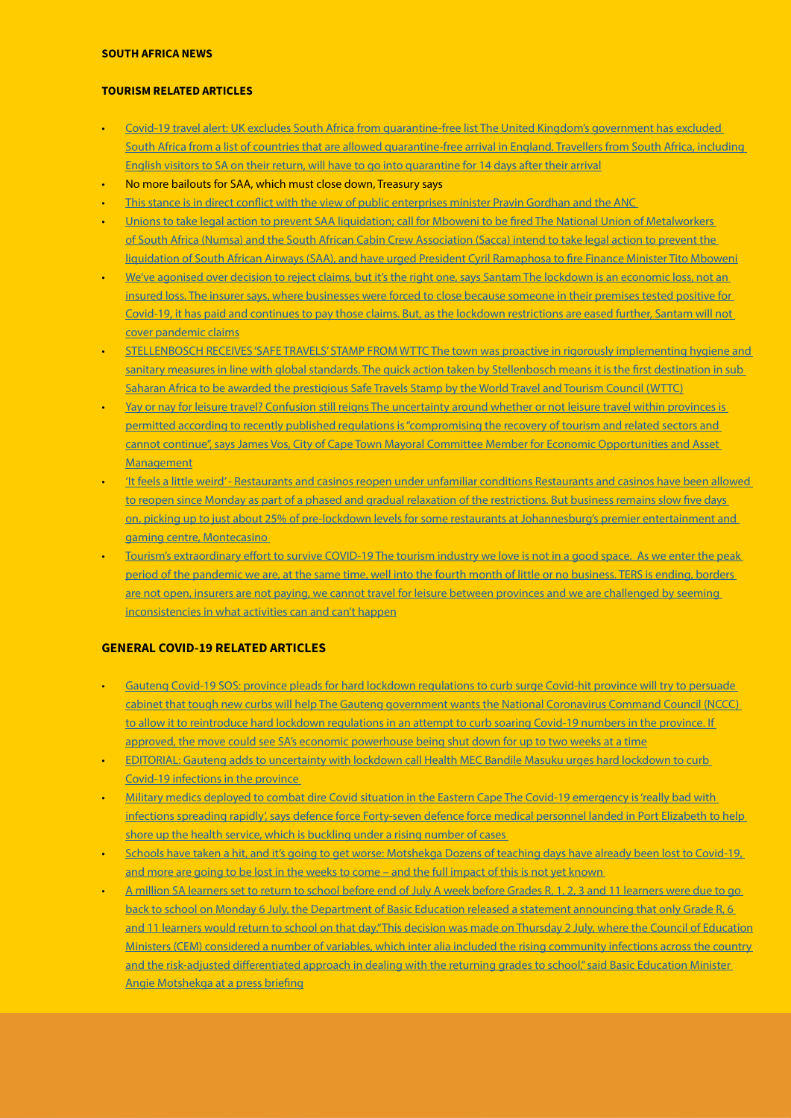#### SOUTH AFRICA NEWS

#### TOURISM RELATED ARTICLES

- [Covid-19 travel alert: UK excludes South Africa from quarantine-free list The United Kingdom's government has excluded](https://www.businessinsider.co.za/south-africa-uk-travel-list-2020-7)  [South Africa from a list of countries that are allowed quarantine-free arrival in England. Travellers from South Africa, including](https://www.businessinsider.co.za/south-africa-uk-travel-list-2020-7)  [English visitors to SA on their return, will have to go into quarantine for 14 days after their arrival](https://www.businessinsider.co.za/south-africa-uk-travel-list-2020-7)
- No more bailouts for SAA, which must close down, Treasury says
- This stance is in direct conflict with the view of public enterprises minister Pravin Gordhan and the ANC
- [Unions to take legal action to prevent SAA liquidation; call for Mboweni to be fired The National Union of Metalworkers](https://www.iol.co.za/business-report/companies/unions-to-take-legal-action-to-prevent-saa-liquidation-call-for-mboweni-to-be-fired-50449445)  [of South Africa \(Numsa\) and the South African Cabin Crew Association \(Sacca\) intend to take legal action to prevent the](https://www.iol.co.za/business-report/companies/unions-to-take-legal-action-to-prevent-saa-liquidation-call-for-mboweni-to-be-fired-50449445)  [liquidation of South African Airways \(SAA\), and have urged President Cyril Ramaphosa to fire Finance Minister Tito Mboweni](https://www.iol.co.za/business-report/companies/unions-to-take-legal-action-to-prevent-saa-liquidation-call-for-mboweni-to-be-fired-50449445)
- We've agonised over decision to reject claims, but it's the right one, says Santam The lockdown is an economic loss, not an [insured loss. The insurer says, where businesses were forced to close because someone in their premises tested positive for](https://www.news24.com/fin24/companies/weve-agonised-over-decision-to-reject-claims-but-its-the-right-one-says-santam-20200705)  [Covid-19, it has paid and continues to pay those claims. But, as the lockdown restrictions are eased further, Santam will not](https://www.news24.com/fin24/companies/weve-agonised-over-decision-to-reject-claims-but-its-the-right-one-says-santam-20200705)  [cover pandemic claims](https://www.news24.com/fin24/companies/weve-agonised-over-decision-to-reject-claims-but-its-the-right-one-says-santam-20200705)
- [STELLENBOSCH RECEIVES 'SAFE TRAVELS' STAMP FROM WTTC The town was proactive in rigorously implementing hygiene and](https://www.news24.com/fin24/companies/weve-agonised-over-decision-to-reject-claims-but-its-the-right-one-says-santam-20200705)  sanitary measures in line with global standards. The quick action taken by Stellenbosch means it is the first destination in sub [Saharan Africa to be awarded the prestigious Safe Travels Stamp by the World Travel and Tourism Council \(WTTC\)](https://www.news24.com/fin24/companies/weve-agonised-over-decision-to-reject-claims-but-its-the-right-one-says-santam-20200705)
- Yay or nay for leisure travel? Confusion still reigns The uncertainty around whether or not leisure travel within provinces is [permitted according to recently published regulations is "compromising the recovery of tourism and related sectors and](http://www.tourismupdate.co.za/article/199751/Yay-or-nay-for-leisure-travel-Confusion-still-reigns)  [cannot continue", says James Vos, City of Cape Town Mayoral Committee Member for Economic Opportunities and Asset](http://www.tourismupdate.co.za/article/199751/Yay-or-nay-for-leisure-travel-Confusion-still-reigns)  [Management](http://www.tourismupdate.co.za/article/199751/Yay-or-nay-for-leisure-travel-Confusion-still-reigns)
- ['It feels a little weird' Restaurants and casinos reopen under unfamiliar conditions Restaurants and casinos have been allowed](https://www.news24.com/news24/southafrica/news/it-feels-a-little-weird-restaurants-and-casinos-reopen-under-unfamiliar-conditions-20200705)  to reopen since Monday as part of a phased and gradual relaxation of the restrictions. But business remains slow five days [on, picking up to just about 25% of pre-lockdown levels for some restaurants at Johannesburg's premier entertainment and](https://www.news24.com/news24/southafrica/news/it-feels-a-little-weird-restaurants-and-casinos-reopen-under-unfamiliar-conditions-20200705)  [gaming centre, Montecasino](https://www.news24.com/news24/southafrica/news/it-feels-a-little-weird-restaurants-and-casinos-reopen-under-unfamiliar-conditions-20200705)
- [Tourism's extraordinary effort to survive COVID-19 The tourism industry we love is not in a good space. As we enter the peak](https://www.travelnews.co.za/article/tourisms-extraordinary-effort-survive-covid-19-0)  [period of the pandemic we are, at the same time, well into the fourth month of little or no business. TERS is ending, borders](https://www.travelnews.co.za/article/tourisms-extraordinary-effort-survive-covid-19-0)  are not open, insurers are not paying, we cannot travel for leisure between provinces and we are challenged by seeming [inconsistencies in what activities can and can't happen](https://www.travelnews.co.za/article/tourisms-extraordinary-effort-survive-covid-19-0)

## GENERAL COVID-19 RELATED ARTICLES

- [Gauteng Covid-19 SOS: province pleads for hard lockdown regulations to curb surge Covid-hit province will try to persuade](https://www.timeslive.co.za/sunday-times/news/2020-07-05-gauteng-covid-19-sos-province-pleads-for-hard-lockdown-regulations-to-curb-surge/)  [cabinet that tough new curbs will help The Gauteng government wants the National Coronavirus Command Council \(NCCC\)](https://www.timeslive.co.za/sunday-times/news/2020-07-05-gauteng-covid-19-sos-province-pleads-for-hard-lockdown-regulations-to-curb-surge/)  [to allow it to reintroduce hard lockdown regulations in an attempt to curb soaring Covid-19 numbers in the province. If](https://www.timeslive.co.za/sunday-times/news/2020-07-05-gauteng-covid-19-sos-province-pleads-for-hard-lockdown-regulations-to-curb-surge/)  [approved, the move could see SA's economic powerhouse being shut down for up to two weeks at a time](https://www.timeslive.co.za/sunday-times/news/2020-07-05-gauteng-covid-19-sos-province-pleads-for-hard-lockdown-regulations-to-curb-surge/)
- [EDITORIAL: Gauteng adds to uncertainty with lockdown call Health MEC Bandile Masuku urges hard lockdown to curb](https://www.businesslive.co.za/bd/opinion/editorials/2020-07-05-editorial-gauteng-adds-to-uncertainty-with-lockdown-call/)  [Covid-19 infections in the province](https://www.businesslive.co.za/bd/opinion/editorials/2020-07-05-editorial-gauteng-adds-to-uncertainty-with-lockdown-call/)
- [Military medics deployed to combat dire Covid situation in the Eastern Cape The Covid-19 emergency is 'really bad with](https://www.businesslive.co.za/bd/opinion/editorials/2020-07-05-editorial-gauteng-adds-to-uncertainty-with-lockdown-call/)  infections spreading rapidly', says defence force Forty-seven defence force medical personnel landed in Port Elizabeth to help shore up the health service, which is buckling under a rising number of cases
- [Schools have taken a hit, and it's going to get worse: Motshekga Dozens of teaching days have already been lost to Covid-19,](https://www.businesslive.co.za/bd/opinion/editorials/2020-07-05-editorial-gauteng-adds-to-uncertainty-with-lockdown-call/)  [and more are going to be lost in the weeks to come – and the full impact of this is not yet known](https://www.businesslive.co.za/bd/opinion/editorials/2020-07-05-editorial-gauteng-adds-to-uncertainty-with-lockdown-call/)
- [A million SA learners set to return to school before end of July A week before Grades R, 1, 2, 3 and 11 learners were due to go](https://www.businesslive.co.za/bd/opinion/editorials/2020-07-05-editorial-gauteng-adds-to-uncertainty-with-lockdown-call/)  [back to school on Monday 6 July, the Department of Basic Education released a statement announcing that only Grade R, 6](https://www.businesslive.co.za/bd/opinion/editorials/2020-07-05-editorial-gauteng-adds-to-uncertainty-with-lockdown-call/)  [and 11 learners would return to school on that day."This decision was made on Thursday 2 July, where the Council of Education](https://www.businesslive.co.za/bd/opinion/editorials/2020-07-05-editorial-gauteng-adds-to-uncertainty-with-lockdown-call/) [Ministers \(CEM\) considered a number of variables, which inter alia included the rising community infections across the country](https://www.businesslive.co.za/bd/opinion/editorials/2020-07-05-editorial-gauteng-adds-to-uncertainty-with-lockdown-call/)  and the risk-adjusted differentiated approach in dealing with the returning grades to school," said Basic Education Minister [Angie Motshekga at a press briefing](https://www.businesslive.co.za/bd/opinion/editorials/2020-07-05-editorial-gauteng-adds-to-uncertainty-with-lockdown-call/)